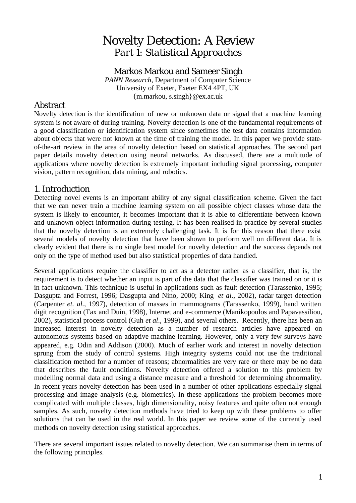# Novelty Detection: A Review *Part 1: Statistical Approaches*

Markos Markou and Sameer Singh *PANN Research*, Department of Computer Science University of Exeter, Exeter EX4 4PT, UK {m.markou, s.singh}@ex.ac.uk

### **Abstract**

Novelty detection is the identification of new or unknown data or signal that a machine learning system is not aware of during training. Novelty detection is one of the fundamental requirements of a good classification or identification system since sometimes the test data contains information about objects that were not known at the time of training the model. In this paper we provide stateof-the-art review in the area of novelty detection based on statistical approaches. The second part paper details novelty detection using neural networks. As discussed, there are a multitude of applications where novelty detection is extremely important including signal processing, computer vision, pattern recognition, data mining, and robotics.

# 1. Introduction

Detecting novel events is an important ability of any signal classification scheme. Given the fact that we can never train a machine learning system on all possible object classes whose data the system is likely to encounter, it becomes important that it is able to differentiate between known and unknown object information during testing. It has been realised in practice by several studies that the novelty detection is an extremely challenging task. It is for this reason that there exist several models of novelty detection that have been shown to perform well on different data. It is clearly evident that there is no single best model for novelty detection and the success depends not only on the type of method used but also statistical properties of data handled.

Several applications require the classifier to act as a detector rather as a classifier, that is, the requirement is to detect whether an input is part of the data that the classifier was trained on or it is in fact unknown. This technique is useful in applications such as fault detection (Tarassenko, 1995; Dasgupta and Forrest, 1996; Dasgupta and Nino, 2000; King *et al.*, 2002), radar target detection (Carpenter *et. al.*, 1997), detection of masses in mammograms (Tarassenko, 1999), hand written digit recognition (Tax and Duin, 1998), Internet and e-commerce (Manikopoulos and Papavassiliou, 2002), statistical process control (Guh *et al*., 1999), and several others. Recently, there has been an increased interest in novelty detection as a number of research articles have appeared on autonomous systems based on adaptive machine learning. However, only a very few surveys have appeared, e.g. Odin and Addison (2000). Much of earlier work and interest in novelty detection sprung from the study of control systems. High integrity systems could not use the traditional classification method for a number of reasons; abnormalities are very rare or there may be no data that describes the fault conditions. Novelty detection offered a solution to this problem by modelling normal data and using a distance measure and a threshold for determining abnormality. In recent years novelty detection has been used in a number of other applications especially signal processing and image analysis (e.g. biometrics). In these applications the problem becomes more complicated with multiple classes, high dimensionality, noisy features and quite often not enough samples. As such, novelty detection methods have tried to keep up with these problems to offer solutions that can be used in the real world. In this paper we review some of the currently used methods on novelty detection using statistical approaches.

There are several important issues related to novelty detection. We can summarise them in terms of the following principles.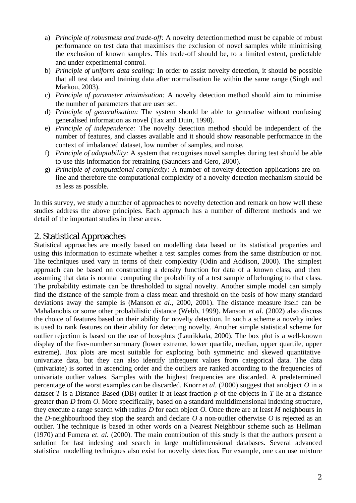- a) *Principle of robustness and trade-off:* A novelty detection method must be capable of robust performance on test data that maximises the exclusion of novel samples while minimising the exclusion of known samples. This trade-off should be, to a limited extent, predictable and under experimental control.
- b) *Principle of uniform data scaling:* In order to assist novelty detection, it should be possible that all test data and training data after normalisation lie within the same range (Singh and Markou, 2003).
- c) *Principle of parameter minimisation:* A novelty detection method should aim to minimise the number of parameters that are user set.
- d) *Principle of generalisation:* The system should be able to generalise without confusing generalised information as novel (Tax and Duin, 1998).
- e) *Principle of independence:* The novelty detection method should be independent of the number of features, and classes available and it should show reasonable performance in the context of imbalanced dataset, low number of samples, and noise.
- f) *Principle of adaptability:* A system that recognises novel samples during test should be able to use this information for retraining (Saunders and Gero, 2000).
- g) *Principle of computational complexity:* A number of novelty detection applications are online and therefore the computational complexity of a novelty detection mechanism should be as less as possible.

In this survey, we study a number of approaches to novelty detection and remark on how well these studies address the above principles. Each approach has a number of different methods and we detail of the important studies in these areas.

# 2. Statistical Approaches

Statistical approaches are mostly based on modelling data based on its statistical properties and using this information to estimate whether a test samples comes from the same distribution or not. The techniques used vary in terms of their complexity (Odin and Addison, 2000). The simplest approach can be based on constructing a density function for data of a known class, and then assuming that data is normal computing the probability of a test sample of belonging to that class. The probability estimate can be thresholded to signal novelty. Another simple model can simply find the distance of the sample from a class mean and threshold on the basis of how many standard deviations away the sample is (Manson *et al.*, 2000, 2001). The distance measure itself can be Mahalanobis or some other probabilistic distance (Webb, 1999). Manson *et al*. (2002) also discuss the choice of features based on their ability for novelty detection. In such a scheme a novelty index is used to rank features on their ability for detecting novelty. Another simple statistical scheme for outlier rejection is based on the use of box-plots (Laurikkala, 2000). The box plot is a well-known display of the five-number summary (lower extreme, lower quartile, median, upper quartile, upper extreme). Box plots are most suitable for exploring both symmetric and skewed quantitative univariate data, but they can also identify infrequent values from categorical data. The data (univariate) is sorted in ascending order and the outliers are ranked according to the frequencies of univariate outlier values. Samples with the highest frequencies are discarded. A predetermined percentage of the worst examples can be discarded. Knorr *et al*. (2000) suggest that an object *O* in a dataset *T* is a Distance-Based (DB) outlier if at least fraction *p* of the objects in *T* lie at a distance greater than *D* from *O*. More specifically, based on a standard multidimensional indexing structure, they execute a range search with radius *D* for each object *O*. Once there are at least *M* neighbours in the *D*-neighbourhood they stop the search and declare *O* a non-outlier otherwise *O* is rejected as an outlier. The technique is based in other words on a Nearest Neighbour scheme such as Hellman (1970) and Fumera *et. al.* (2000). The main contribution of this study is that the authors present a solution for fast indexing and search in large multidimensional databases. Several advanced statistical modelling techniques also exist for novelty detection. For example, one can use mixture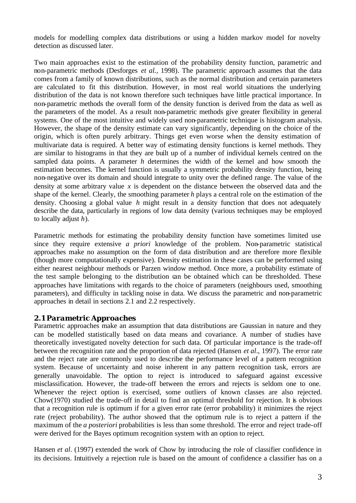models for modelling complex data distributions or using a hidden markov model for novelty detection as discussed later.

Two main approaches exist to the estimation of the probability density function, parametric and non-parametric methods (Desforges *et al.,* 1998). The parametric approach assumes that the data comes from a family of known distributions, such as the normal distribution and certain parameters are calculated to fit this distribution. However, in most real world situations the underlying distribution of the data is not known therefore such techniques have little practical importance. In non-parametric methods the overall form of the density function is derived from the data as well as the parameters of the model. As a result non-parametric methods give greater flexibility in general systems. One of the most intuitive and widely used non-parametric technique is histogram analysis. However, the shape of the density estimate can vary significantly, depending on the choice of the origin, which is often purely arbitrary. Things get even worse when the density estimation of multivariate data is required. A better way of estimating density functions is kernel methods. They are similar to histograms in that they are built up of a number of individual kernels centred on the sampled data points. A parameter *h* determines the width of the kernel and how smooth the estimation becomes. The kernel function is usually a symmetric probability density function, being non-negative over its domain and should integrate to unity over the defined range. The value of the density at some arbitrary value *x* is dependent on the distance between the observed data and the shape of the kernel. Clearly, the smoothing parameter *h* plays a central role on the estimation of the density. Choosing a global value *h* might result in a density function that does not adequately describe the data, particularly in regions of low data density (various techniques may be employed to locally adjust *h*).

Parametric methods for estimating the probability density function have sometimes limited use since they require extensive *a priori* knowledge of the problem. Non-parametric statistical approaches make no assumption on the form of data distribution and are therefore more flexible (though more computationally expensive). Density estimation in these cases can be performed using either nearest neighbour methods or Parzen window method. Once more, a probability estimate of the test sample belonging to the distribution can be obtained which can be thresholded. These approaches have limitations with regards to the choice of parameters (neighbours used, smoothing parameters), and difficulty in tackling noise in data. We discuss the parametric and non-parametric approaches in detail in sections 2.1 and 2.2 respectively.

# **2.1** *Parametric Approaches*

Parametric approaches make an assumption that data distributions are Gaussian in nature and they can be modelled statistically based on data means and covariance. A number of studies have theoretically investigated novelty detection for such data. Of particular importance is the trade-off between the recognition rate and the proportion of data rejected (Hansen *et al*., 1997). The error rate and the reject rate are commonly used to describe the performance level of a pattern recognition system. Because of uncertainty and noise inherent in any pattern recognition task, errors are generally unavoidable. The option to reject is introduced to safeguard against excessive misclassification. However, the trade-off between the errors and rejects is seldom one to one. Whenever the reject option is exercised, some outliers of known classes are also rejected. Chow(1970) studied the trade-off in detail to find an optimal threshold for rejection. It is obvious that a recognition rule is optimum if for a given error rate (error probability) it minimizes the reject rate (reject probability). The author showed that the optimum rule is to reject a pattern if the maximum of the *a posteriori* probabilities is less than some threshold. The error and reject trade-off were derived for the Bayes optimum recognition system with an option to reject.

Hansen *et al*. (1997) extended the work of Chow by introducing the role of classifier confidence in its decisions. Intuitively a rejection rule is based on the amount of confidence a classifier has on a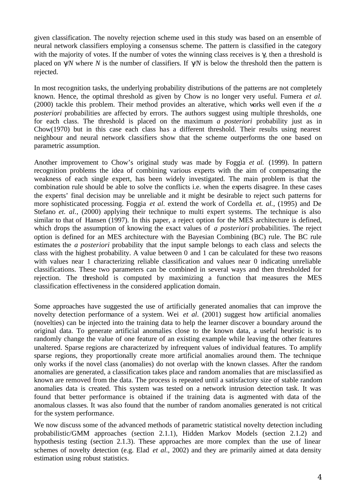given classification. The novelty rejection scheme used in this study was based on an ensemble of neural network classifiers employing a consensus scheme. The pattern is classified in the category with the majority of votes. If the number of votes the winning class receives is *g*, then a threshold is placed on *g/N* where *N* is the number of classifiers. If *g/N* is below the threshold then the pattern is rejected.

In most recognition tasks, the underlying probability distributions of the patterns are not completely known. Hence, the optimal threshold as given by Chow is no longer very useful. Fumera *et al*. (2000) tackle this problem. Their method provides an alterative, which works well even if the *a posteriori* probabilities are affected by errors. The authors suggest using multiple thresholds, one for each class. The threshold is placed on the maximum *a posteriori* probability just as in Chow(1970) but in this case each class has a different threshold. Their results using nearest neighbour and neural network classifiers show that the scheme outperforms the one based on parametric assumption.

Another improvement to Chow's original study was made by Foggia *et al.* (1999). In pattern recognition problems the idea of combining various experts with the aim of compensating the weakness of each single expert, has been widely investigated. The main problem is that the combination rule should be able to solve the conflicts i.e. when the experts disagree. In these cases the experts' final decision may be unreliable and it might be desirable to reject such patterns for more sophisticated processing. Foggia *et al.* extend the work of Cordella *et. al.*, (1995) and De Stefano *et. al.*, (2000) applying their technique to multi expert systems. The technique is also similar to that of Hansen (1997). In this paper, a reject option for the MES architecture is defined, which drops the assumption of knowing the exact values of *a posteriori* probabilities. The reject option is defined for an MES architecture with the Bayesian Combining (BC) rule. The BC rule estimates the *a posteriori* probability that the input sample belongs to each class and selects the class with the highest probability. A value between 0 and 1 can be calculated for these two reasons with values near 1 characterizing reliable classification and values near 0 indicating unreliable classifications. These two parameters can be combined in several ways and then thresholded for rejection. The threshold is computed by maximizing a function that measures the MES classification effectiveness in the considered application domain.

Some approaches have suggested the use of artificially generated anomalies that can improve the novelty detection performance of a system. Wei *et al*. (2001) suggest how artificial anomalies (novelties) can be injected into the training data to help the learner discover a boundary around the original data. To generate artificial anomalies close to the known data, a useful heuristic is to randomly change the value of one feature of an existing example while leaving the other features unaltered. Sparse regions are characterized by infrequent values of individual features. To amplify sparse regions, they proportionally create more artificial anomalies around them. The technique only works if the novel class (anomalies) do not overlap with the known classes. After the random anomalies are generated, a classification takes place and random anomalies that are misclassified as known are removed from the data. The process is repeated until a satisfactory size of stable random anomalies data is created. This system was tested on a network intrusion detection task. It was found that better performance is obtained if the training data is augmented with data of the anomalous classes. It was also found that the number of random anomalies generated is not critical for the system performance.

We now discuss some of the advanced methods of parametric statistical novelty detection including probabilistic/GMM approaches (section 2.1.1), Hidden Markov Models (section 2.1.2) and hypothesis testing (section 2.1.3). These approaches are more complex than the use of linear schemes of novelty detection (e.g. Elad *et al*., 2002) and they are primarily aimed at data density estimation using robust statistics.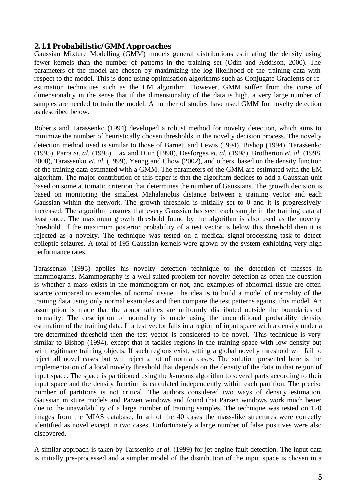#### **2.1.1** *Probabilistic/GMM Approaches*

Gaussian Mixture Modelling (GMM) models general distributions estimating the density using fewer kernels than the number of patterns in the training set (Odin and Addison, 2000). The parameters of the model are chosen by maximizing the log likelihood of the training data with respect to the model. This is done using optimisation algorithms such as Conjugate Gradients or reestimation techniques such as the EM algorithm. However, GMM suffer from the curse of dimensionality in the sense that if the dimensionality of the data is high, a very large number of samples are needed to train the model. A number of studies have used GMM for novelty detection as described below.

Roberts and Tarassenko (1994) developed a robust method for novelty detection, which aims to minimize the number of heuristically chosen thresholds in the novelty decision process. The novelty detection method used is similar to those of Barnett and Lewis (1994), Bishop (1994), Tarassenko (1995), Parra *et. al.* (1995), Tax and Duin (1998), Desforges *et. al.* (1998), Brotherton *et. al.* (1998, 2000), Tarassenko *et. al.* (1999), Yeung and Chow (2002), and others, based on the density function of the training data estimated with a GMM. The parameters of the GMM are estimated with the EM algorithm. The major contribution of this paper is that the algorithm decides to add a Gaussian unit based on some automatic criterion that determines the number of Gaussians. The growth decision is based on monitoring the smallest Mahalanobis distance between a training vector and each Gaussian within the network. The growth threshold is initially set to 0 and it is progressively increased. The algorithm ensures that every Gaussian has seen each sample in the training data at least once. The maximum growth threshold found by the algorithm is also used as the novelty threshold. If the maximum posterior probability of a test vector is below this threshold then it is rejected as a novelty. The technique was tested on a medical signal-processing task to detect epileptic seizures. A total of 195 Gaussian kernels were grown by the system exhibiting very high performance rates.

Tarassenko (1995) applies his novelty detection technique to the detection of masses in mammograms. Mammography is a well-suited problem for novelty detection as often the question is whether a mass exists in the mammogram or not, and examples of abnormal tissue are often scarce compared to examples of normal tissue. The idea is to build a model of normality of the training data using only normal examples and then compare the test patterns against this model. An assumption is made that the abnormalities are uniformly distributed outside the boundaries of normality. The description of normality is made using the unconditional probability density estimation of the training data. If a test vector falls in a region of input space with a density under a pre-determined threshold then the test vector is considered to be novel. This technique is very similar to Bishop (1994), except that it tackles regions in the training space with low density but with legitimate training objects. If such regions exist, setting a global novelty threshold will fail to reject all novel cases but will reject a lot of normal cases. The solution presented here is the implementation of a local novelty threshold that depends on the density of the data in that region of input space. The space is partitioned using the *k*-means algorithm to several parts according to their input space and the density function is calculated independently within each partition. The precise number of partitions is not critical. The authors considered two ways of density estimation, Gaussian mixture models and Parzen windows and found that Parzen windows work much better due to the unavailability of a large number of training samples. The technique was tested on 120 images from the MIAS database. In all of the 40 cases the mass-like structures were correctly identified as novel except in two cases. Unfortunately a large number of false positives were also discovered.

A similar approach is taken by Tarssenko *et al.* (1999) for jet engine fault detection. The input data is initially pre-processed and a simpler model of the distribution of the input space is chosen in a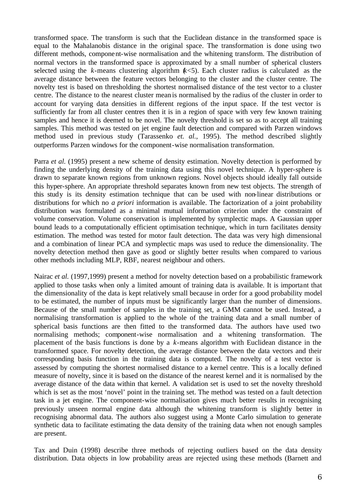transformed space. The transform is such that the Euclidean distance in the transformed space is equal to the Mahalanobis distance in the original space. The transformation is done using two different methods, component-wise normalisation and the whitening transform. The distribution of normal vectors in the transformed space is approximated by a small number of spherical clusters selected using the *k*-means clustering algorithm  $(k<5)$ . Each cluster radius is calculated as the average distance between the feature vectors belonging to the cluster and the cluster centre. The novelty test is based on thresholding the shortest normalised distance of the test vector to a cluster centre. The distance to the nearest cluster mean is normalised by the radius of the cluster in order to account for varying data densities in different regions of the input space. If the test vector is sufficiently far from all cluster centres then it is in a region of space with very few known training samples and hence it is deemed to be novel. The novelty threshold is set so as to accept all training samples. This method was tested on jet engine fault detection and compared with Parzen windows method used in previous study (Tarassenko *et. al.*, 1995). The method described slightly outperforms Parzen windows for the component-wise normalisation transformation.

Parra *et al.* (1995) present a new scheme of density estimation. Novelty detection is performed by finding the underlying density of the training data using this novel technique. A hyper-sphere is drawn to separate known regions from unknown regions. Novel objects should ideally fall outside this hyper-sphere. An appropriate threshold separates known from new test objects. The strength of this study is its density estimation technique that can be used with non-linear distributions or distributions for which no *a priori* information is available. The factorization of a joint probability distribution was formulated as a minimal mutual information criterion under the constraint of volume conservation. Volume conservation is implemented by symplectic maps. A Gaussian upper bound leads to a computationally efficient optimisation technique, which in turn facilitates density estimation. The method was tested for motor fault detection. The data was very high dimensional and a combination of linear PCA and symplectic maps was used to reduce the dimensionality. The novelty detection method then gave as good or slightly better results when compared to various other methods including MLP, RBF, nearest neighbour and others.

Nairac *et al.* (1997,1999) present a method for novelty detection based on a probabilistic framework applied to those tasks when only a limited amount of training data is available. It is important that the dimensionality of the data is kept relatively small because in order for a good probability model to be estimated, the number of inputs must be significantly larger than the number of dimensions. Because of the small number of samples in the training set, a GMM cannot be used. Instead, a normalising transformation is applied to the whole of the training data and a small number of spherical basis functions are then fitted to the transformed data. The authors have used two normalising methods; component-wise normalisation and a whitening transformation. The placement of the basis functions is done by a *k*-means algorithm with Euclidean distance in the transformed space. For novelty detection, the average distance between the data vectors and their corresponding basis function in the training data is computed. The novelty of a test vector is assessed by computing the shortest normalised distance to a kernel centre. This is a locally defined measure of novelty, since it is based on the distance of the nearest kernel and it is normalised by the average distance of the data within that kernel. A validation set is used to set the novelty threshold which is set as the most 'novel' point in the training set. The method was tested on a fault detection task in a jet engine. The component-wise normalisation gives much better results in recognising previously unseen normal engine data although the whitening transform is slightly better in recognising abnormal data. The authors also suggest using a Monte Carlo simulation to generate synthetic data to facilitate estimating the data density of the training data when not enough samples are present.

Tax and Duin (1998) describe three methods of rejecting outliers based on the data density distribution. Data objects in low probability areas are rejected using these methods (Barnett and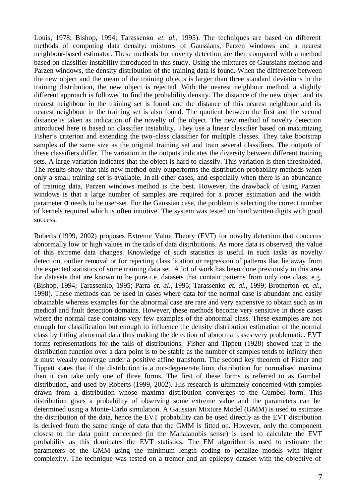Louis, 1978; Bishop, 1994; Tarassenko *et. al.*, 1995). The techniques are based on different methods of computing data density: mixtures of Gaussians, Parzen windows and a nearest neighbour-based estimator. These methods for novelty detection are then compared with a method based on classifier instability introduced in this study. Using the mixtures of Gaussians method and Parzen windows, the density distribution of the training data is found. When the difference between the new object and the mean of the training objects is larger than three standard deviations in the training distribution, the new object is rejected. With the nearest neighbour method, a slightly different approach is followed to find the probability density. The distance of the new object and its nearest neighbour in the training set is found and the distance of this nearest neighbour and its nearest neighbour in the training set is also found. The quotient between the first and the second distance is taken as indication of the novelty of the object. The new method of novelty detection introduced here is based on classifier instability. They use a linear classifier based on maximizing Fisher's criterion and extending the two-class classifier for multiple classes. They take bootstrap samples of the same size as the original training set and train several classifiers. The outputs of these classifiers differ. The variation in the outputs indicates the diversity between different training sets. A large variation indicates that the object is hard to classify. This variation is then thresholded. The results show that this new method only outperforms the distribution probability methods when only a small training set is available. In all other cases, and especially when there is an abundance of training data, Parzen windows method is the best. However, the drawback of using Parzen windows is that a large number of samples are required for a proper estimation and the width parameter  $\sigma$  needs to be user-set. For the Gaussian case, the problem is selecting the correct number of kernels required which is often intuitive. The system was tested on hand written digits with good success.

Roberts (1999, 2002) proposes Extreme Value Theory (EVT) for novelty detection that concerns abnormally low or high values in the tails of data distributions. As more data is observed, the value of this extreme data changes. Knowledge of such statistics is useful in such tasks as novelty detection, outlier removal or for rejecting classification or regression of patterns that lie away from the expected statistics of some training data set. A lot of work has been done previously in this area for datasets that are known to be pure i.e. datasets that contain patterns from only one class, e.g. (Bishop, 1994; Tarassenko, 1995; Parra *et. al.*, 1995; Tarassenko *et. al.*, 1999; Brotherton *et. al.*, 1998). These methods can be used in cases where data for the normal case is abundant and easily obtainable whereas examples for the abnormal case are rare and very expensive to obtain such as in medical and fault detection domains. However, these methods become very sensitive in those cases where the normal case contains very few examples of the abnormal class. These examples are not enough for classification but enough to influence the density distribution estimation of the normal class by fitting abnormal data thus making the detection of abnormal cases very problematic. EVT forms representations for the tails of distributions. Fisher and Tippett (1928) showed that if the distribution function over a data point is to be stable as the number of samples tends to infinity then it must weakly converge under a positive affine transform. The second key theorem of Fisher and Tippett states that if the distribution is a non-degenerate limit distribution for normalised maxima then it can take only one of three forms. The first of these forms is referred to as Gumbel distribution, and used by Roberts (1999, 2002). His research is ultimately concerned with samples drawn from a distribution whose maxima distribution converges to the Gumbel form. This distribution gives a probability of observing some extreme value and the parameters can be determined using a Monte-Carlo simulation. A Gaussian Mixture Model (GMM) is used to estimate the distribution of the data, hence the EVT probability can be used directly as the EVT distribution is derived from the same range of data that the GMM is fitted on. However, only the component closest to the data point concerned (in the Mahalanobis sense) is used to calculate the EVT probability as this dominates the EVT statistics. The EM algorithm is used to estimate the parameters of the GMM using the minimum length coding to penalize models with higher complexity. The technique was tested on a tremor and an epilepsy dataset with the objective of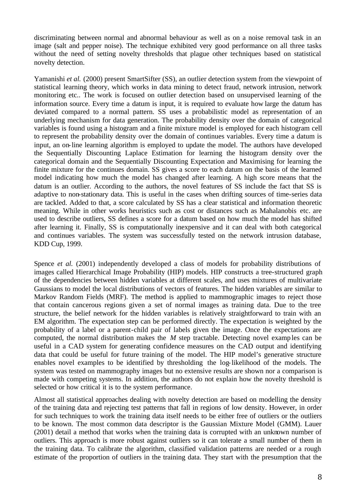discriminating between normal and abnormal behaviour as well as on a noise removal task in an image (salt and pepper noise). The technique exhibited very good performance on all three tasks without the need of setting novelty thresholds that plague other techniques based on statistical novelty detection.

Yamanishi *et al.* (2000) present SmartSifter (SS), an outlier detection system from the viewpoint of statistical learning theory, which works in data mining to detect fraud, network intrusion, network monitoring etc.. The work is focused on outlier detection based on unsupervised learning of the information source. Every time a datum is input, it is required to evaluate how large the datum has deviated compared to a normal pattern. SS uses a probabilistic model as representation of an underlying mechanism for data generation. The probability density over the domain of categorical variables is found using a histogram and a finite mixture model is employed for each histogram cell to represent the probability density over the domain of continues variables. Every time a datum is input, an on-line learning algorithm is employed to update the model. The authors have developed the Sequentially Discounting Laplace Estimation for learning the histogram density over the categorical domain and the Sequentially Discounting Expectation and Maximising for learning the finite mixture for the continues domain. SS gives a score to each datum on the basis of the learned model indicating how much the model has changed after learning. A high score means that the datum is an outlier. According to the authors, the novel features of SS include the fact that SS is adaptive to non-stationary data. This is useful in the cases when drifting sources of time-series data are tackled. Added to that, a score calculated by SS has a clear statistical and information theoretic meaning. While in other works heuristics such as cost or distances such as Mahalanobis etc. are used to describe outliers, SS defines a score for a datum based on how much the model has shifted after learning it. Finally, SS is computationally inexpensive and it can deal with both categorical and continues variables. The system was successfully tested on the network intrusion database, KDD Cup, 1999.

Spence *et al.* (2001) independently developed a class of models for probability distributions of images called Hierarchical Image Probability (HIP) models. HIP constructs a tree-structured graph of the dependencies between hidden variables at different scales, and uses mixtures of multivariate Gaussians to model the local distributions of vectors of features. The hidden variables are similar to Markov Random Fields (MRF). The method is applied to mammographic images to reject those that contain cancerous regions given a set of normal images as training data. Due to the tree structure, the belief network for the hidden variables is relatively straightforward to train with an EM algorithm. The expectation step can be performed directly. The expectation is weighted by the probability of a label or a parent-child pair of labels given the image. Once the expectations are computed, the normal distribution makes the *M* step tractable. Detecting novel examples can be useful in a CAD system for generating confidence measures on the CAD output and identifying data that could be useful for future training of the model. The HIP model's generative structure enables novel examples to be identified by thresholding the log-likelihood of the models. The system was tested on mammography images but no extensive results are shown nor a comparison is made with competing systems. In addition, the authors do not explain how the novelty threshold is selected or how critical it is to the system performance.

Almost all statistical approaches dealing with novelty detection are based on modelling the density of the training data and rejecting test patterns that fall in regions of low density. However, in order for such techniques to work the training data itself needs to be either free of outliers or the outliers to be known. The most common data descriptor is the Gaussian Mixture Model (GMM). Lauer (2001) detail a method that works when the training data is corrupted with an unknown number of outliers. This approach is more robust against outliers so it can tolerate a small number of them in the training data. To calibrate the algorithm, classified validation patterns are needed or a rough estimate of the proportion of outliers in the training data. They start with the presumption that the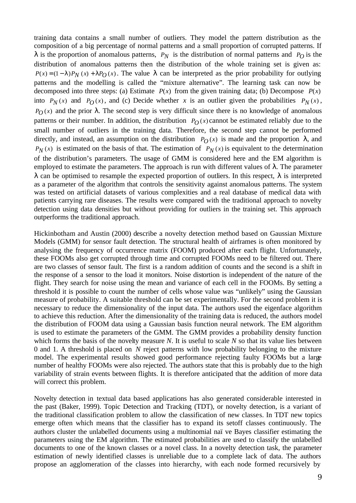training data contains a small number of outliers. They model the pattern distribution as the composition of a big percentage of normal patterns and a small proportion of corrupted patterns. If  $\lambda$  is the proportion of anomalous patterns,  $P_N$  is the distribution of normal patterns and  $P_O$  is the distribution of anomalous patterns then the distribution of the whole training set is given as:  $P(x) = (1 - I)P_N(x) + IP_O(x)$ . The value  $\lambda$  can be interpreted as the prior probability for outlying patterns and the modelling is called the "mixture alternative". The learning task can now be decomposed into three steps: (a) Estimate  $P(x)$  from the given training data; (b) Decompose  $P(x)$ into  $P_N(x)$  and  $P_Q(x)$ , and (c) Decide whether *x* is an outlier given the probabilities  $P_N(x)$ , *P<sub>O</sub>*(*x*) and the prior  $\lambda$ . The second step is very difficult since there is no knowledge of anomalous patterns or their number. In addition, the distribution  $P<sub>O</sub>(x)$  cannot be estimated reliably due to the small number of outliers in the training data. Therefore, the second step cannot be performed directly, and instead, an assumption on the distribution  $P_Q(x)$  is made and the proportion  $\lambda$ , and  $P_N(x)$  is estimated on the basis of that. The estimation of  $P_N(x)$  is equivalent to the determination of the distribution's parameters. The usage of GMM is considered here and the EM algorithm is employed to estimate the parameters. The approach is run with different values of  $\lambda$ . The parameter  $\lambda$  can be optimised to resample the expected proportion of outliers. In this respect,  $\lambda$  is interpreted as a parameter of the algorithm that controls the sensitivity against anomalous patterns. The system was tested on artificial datasets of various complexities and a real database of medical data with patients carrying rare diseases. The results were compared with the traditional approach to novelty detection using data densities but without providing for outliers in the training set. This approach outperforms the traditional approach.

Hickinbotham and Austin (2000) describe a novelty detection method based on Gaussian Mixture Models (GMM) for sensor fault detection. The structural health of airframes is often monitored by analysing the frequency of occurrence matrix (FOOM) produced after each flight. Unfortunately, these FOOMs also get corrupted through time and corrupted FOOMs need to be filtered out. There are two classes of sensor fault. The first is a random addition of counts and the second is a shift in the response of a sensor to the load it monitors. Noise distortion is independent of the nature of the flight. They search for noise using the mean and variance of each cell in the FOOMs. By setting a threshold it is possible to count the number of cells whose value was "unlikely" using the Gaussian measure of probability. A suitable threshold can be set experimentally. For the second problem it is necessary to reduce the dimensionality of the input data. The authors used the eigenface algorithm to achieve this reduction. After the dimensionality of the training data is reduced, the authors model the distribution of FOOM data using a Gaussian basis function neural network. The EM algorithm is used to estimate the parameters of the GMM. The GMM provides a probability density function which forms the basis of the novelty measure *N*. It is useful to scale *N* so that its value lies between 0 and 1. A threshold is placed on *N* reject patterns with low probability belonging to the mixture model. The experimental results showed good performance rejecting faulty FOOMs but a large number of healthy FOOMs were also rejected. The authors state that this is probably due to the high variability of strain events between flights. It is therefore anticipated that the addition of more data will correct this problem.

Novelty detection in textual data based applications has also generated considerable interested in the past (Baker, 1999). Topic Detection and Tracking (TDT), or novelty detection, is a variant of the traditional classification problem to allow the classification of new classes. In TDT new topics emerge often which means that the classifier has to expand its setoff classes continuously. The authors cluster the unlabelled documents using a multinomial naïve Bayes classifier estimating the parameters using the EM algorithm. The estimated probabilities are used to classify the unlabelled documents to one of the known classes or a novel class. In a novelty detection task, the parameter estimation of newly identified classes is unreliable due to a complete lack of data. The authors propose an agglomeration of the classes into hierarchy, with each node formed recursively by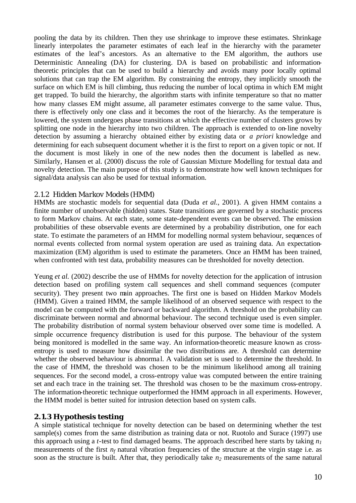pooling the data by its children. Then they use shrinkage to improve these estimates. Shrinkage linearly interpolates the parameter estimates of each leaf in the hierarchy with the parameter estimates of the leaf's ancestors. As an alternative to the EM algorithm, the authors use Deterministic Annealing (DA) for clustering. DA is based on probabilistic and informationtheoretic principles that can be used to build a hierarchy and avoids many poor locally optimal solutions that can trap the EM algorithm. By constraining the entropy, they implicitly smooth the surface on which EM is hill climbing, thus reducing the number of local optima in which EM might get trapped. To build the hierarchy, the algorithm starts with infinite temperature so that no matter how many classes EM might assume, all parameter estimates converge to the same value. Thus, there is effectively only one class and it becomes the root of the hierarchy. As the temperature is lowered, the system undergoes phase transitions at which the effective number of clusters grows by splitting one node in the hierarchy into two children. The approach is extended to on-line novelty detection by assuming a hierarchy obtained either by existing data or *a priori* knowledge and determining for each subsequent document whether it is the first to report on a given topic or not. If the document is most likely in one of the new nodes then the document is labelled as new. Similarly, Hansen et al. (2000) discuss the role of Gaussian Mixture Modelling for textual data and novelty detection. The main purpose of this study is to demonstrate how well known techniques for signal/data analysis can also be used for textual information.

#### 2.1.2 *Hidden Markov Models (HMM)*

HMMs are stochastic models for sequential data (Duda *et al.*, 2001). A given HMM contains a finite number of unobservable (hidden) states. State transitions are governed by a stochastic process to form Markov chains. At each state, some state-dependent events can be observed. The emission probabilities of these observable events are determined by a probability distribution, one for each state. To estimate the parameters of an HMM for modelling normal system behaviour, sequences of normal events collected from normal system operation are used as training data. An expectationmaximization (EM) algorithm is used to estimate the parameters. Once an HMM has been trained, when confronted with test data, probability measures can be thresholded for novelty detection.

Yeung *et al.* (2002) describe the use of HMMs for novelty detection for the application of intrusion detection based on profiling system call sequences and shell command sequences (computer security). They present two main approaches. The first one is based on Hidden Markov Models (HMM). Given a trained HMM, the sample likelihood of an observed sequence with respect to the model can be computed with the forward or backward algorithm. A threshold on the probability can discriminate between normal and abnormal behaviour. The second technique used is even simpler. The probability distribution of normal system behaviour observed over some time is modelled. A simple occurrence frequency distribution is used for this purpose. The behaviour of the system being monitored is modelled in the same way. An information-theoretic measure known as crossentropy is used to measure how dissimilar the two distributions are. A threshold can determine whether the observed behaviour is abnormal. A validation set is used to determine the threshold. In the case of HMM, the threshold was chosen to be the minimum likelihood among all training sequences. For the second model, a cross-entropy value was computed between the entire training set and each trace in the training set. The threshold was chosen to be the maximum cross-entropy. The information-theoretic technique outperformed the HMM approach in all experiments. However, the HMM model is better suited for intrusion detection based on system calls.

# **2.1.3** *Hypothesis testing*

A simple statistical technique for novelty detection can be based on determining whether the test sample(s) comes from the same distribution as training data or not. Ruotolo and Surace (1997) use this approach using a *t*-test to find damaged beams. The approach described here starts by taking  $n_l$ measurements of the first  $n_f$  natural vibration frequencies of the structure at the virgin stage i.e. as soon as the structure is built. After that, they periodically take *n2* measurements of the same natural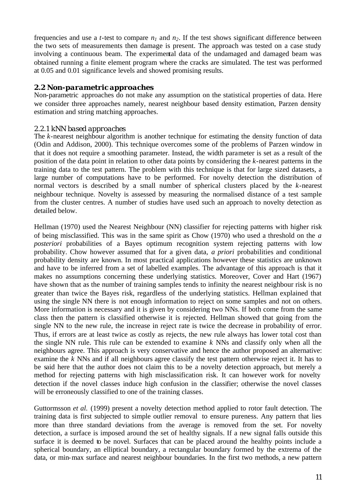frequencies and use a *t*-test to compare  $n_1$  and  $n_2$ . If the test shows significant difference between the two sets of measurements then damage is present. The approach was tested on a case study involving a continuous beam. The experimental data of the undamaged and damaged beam was obtained running a finite element program where the cracks are simulated. The test was performed at 0.05 and 0.01 significance levels and showed promising results.

### **2.2** *Non-parametric approaches*

Non-parametric approaches do not make any assumption on the statistical properties of data. Here we consider three approaches namely, nearest neighbour based density estimation, Parzen density estimation and string matching approaches.

#### 2.2.1 *k*NN *based approaches*

The *k*-nearest neighbour algorithm is another technique for estimating the density function of data (Odin and Addison, 2000). This technique overcomes some of the problems of Parzen window in that it does not require a smoothing parameter. Instead, the width parameter is set as a result of the position of the data point in relation to other data points by considering the *k*-nearest patterns in the training data to the test pattern. The problem with this technique is that for large sized datasets, a large number of computations have to be performed. For novelty detection the distribution of normal vectors is described by a small number of spherical clusters placed by the *k*-nearest neighbour technique. Novelty is assessed by measuring the normalised distance of a test sample from the cluster centres. A number of studies have used such an approach to novelty detection as detailed below.

Hellman (1970) used the Nearest Neighbour (NN) classifier for rejecting patterns with higher risk of being misclassified. This was in the same spirit as Chow (1970) who used a threshold on the *a posteriori* probabilities of a Bayes optimum recognition system rejecting patterns with low probability. Chow however assumed that for a given data, *a priori* probabilities and conditional probability density are known. In most practical applications however these statistics are unknown and have to be inferred from a set of labelled examples. The advantage of this approach is that it makes no assumptions concerning these underlying statistics. Moreover, Cover and Hart (1967) have shown that as the number of training samples tends to infinity the nearest neighbour risk is no greater than twice the Bayes risk, regardless of the underlying statistics. Hellman explained that using the single NN there is not enough information to reject on some samples and not on others. More information is necessary and it is given by considering two NNs. If both come from the same class then the pattern is classified otherwise it is rejected. Hellman showed that going from the single NN to the new rule, the increase in reject rate is twice the decrease in probability of error. Thus, if errors are at least twice as costly as rejects, the new rule always has lower total cost than the single NN rule. This rule can be extended to examine *k* NNs and classify only when all the neighbours agree. This approach is very conservative and hence the author proposed an alternative: examine the *k* NNs and if all neighbours agree classify the test pattern otherwise reject it. It has to be said here that the author does not claim this to be a novelty detection approach, but merely a method for rejecting patterns with high misclassification risk. It can however work for novelty detection if the novel classes induce high confusion in the classifier; otherwise the novel classes will be erroneously classified to one of the training classes.

Guttormsson *et al.* (1999) present a novelty detection method applied to rotor fault detection. The training data is first subjected to simple outlier removal to ensure pureness. Any pattern that lies more than three standard deviations from the average is removed from the set. For novelty detection, a surface is imposed around the set of healthy signals. If a new signal falls outside this surface it is deemed to be novel. Surfaces that can be placed around the healthy points include a spherical boundary, an elliptical boundary, a rectangular boundary formed by the extrema of the data, or min-max surface and nearest neighbour boundaries. In the first two methods, a new pattern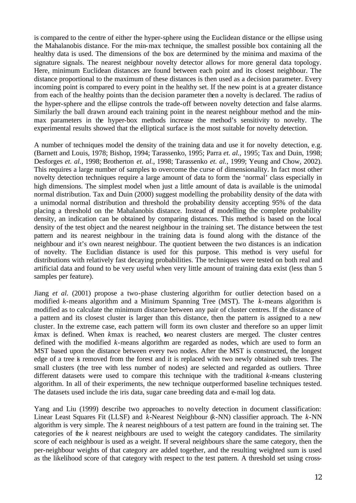is compared to the centre of either the hyper-sphere using the Euclidean distance or the ellipse using the Mahalanobis distance. For the min-max technique, the smallest possible box containing all the healthy data is used. The dimensions of the box are determined by the minima and maxima of the signature signals. The nearest neighbour novelty detector allows for more general data topology. Here, minimum Euclidean distances are found between each point and its closest neighbour. The distance proportional to the maximum of these distances is then used as a decision parameter. Every incoming point is compared to every point in the healthy set. If the new point is at a greater distance from each of the healthy points than the decision parameter then a novelty is declared. The radius of the hyper-sphere and the ellipse controls the trade-off between novelty detection and false alarms. Similarly the ball drawn around each training point in the nearest neighbour method and the minmax parameters in the hyper-box methods increase the method's sensitivity to novelty. The experimental results showed that the elliptical surface is the most suitable for novelty detection.

A number of techniques model the density of the training data and use it for novelty detection, e.g. (Barnett and Louis, 1978; Bishop, 1994; Tarassenko, 1995; Parra *et. al.*, 1995; Tax and Duin, 1998; Desforges *et. al.*, 1998; Brotherton *et. al.*, 1998; Tarassenko *et. al.*, 1999; Yeung and Chow, 2002). This requires a large number of samples to overcome the curse of dimensionality. In fact most other novelty detection techniques require a large amount of data to form the 'normal' class especially in high dimensions. The simplest model when just a little amount of data is available is the unimodal normal distribution. Tax and Duin (2000) suggest modelling the probability density of the data with a unimodal normal distribution and threshold the probability density accepting 95% of the data placing a threshold on the Mahalanobis distance. Instead of modelling the complete probability density, an indication can be obtained by comparing distances. This method is based on the local density of the test object and the nearest neighbour in the training set. The distance between the test pattern and its nearest neighbour in the training data is found along with the distance of the neighbour and it's own nearest neighbour. The quotient between the two distances is an indication of novelty. The Euclidian distance is used for this purpose. This method is very useful for distributions with relatively fast decaying probabilities. The techniques were tested on both real and artificial data and found to be very useful when very little amount of training data exist (less than 5 samples per feature).

Jiang *et al.* (2001) propose a two-phase clustering algorithm for outlier detection based on a modified *k*-means algorithm and a Minimum Spanning Tree (MST). The *k*-means algorithm is modified as to calculate the minimum distance between any pair of cluster centres. If the distance of a pattern and its closest cluster is larger than this distance, then the pattern is assigned to a new cluster. In the extreme case, each pattern will form its own cluster and therefore so an upper limit *k*max is defined. When *k*max is reached, two nearest clusters are merged. The cluster centres defined with the modified *k*-means algorithm are regarded as nodes, which are used to form an MST based upon the distance between every two nodes. After the MST is constructed, the longest edge of a tree is removed from the forest and it is replaced with two newly obtained sub trees. The small clusters (the tree with less number of nodes) are selected and regarded as outliers. Three different datasets were used to compare this technique with the traditional *k-*means clustering algorithm. In all of their experiments, the new technique outperformed baseline techniques tested. The datasets used include the iris data, sugar cane breeding data and e-mail log data.

Yang and Liu (1999) describe two approaches to novelty detection in document classification: Linear Least Squares Fit (LLSF) and *k-*Nearest Neighbour (*k*-NN) classifier approach. The *k*-NN algorithm is very simple. The *k* nearest neighbours of a test pattern are found in the training set. The categories of the *k* nearest neighbours are used to weight the category candidates. The similarity score of each neighbour is used as a weight. If several neighbours share the same category, then the per-neighbour weights of that category are added together, and the resulting weighted sum is used as the likelihood score of that category with respect to the test pattern. A threshold set using cross-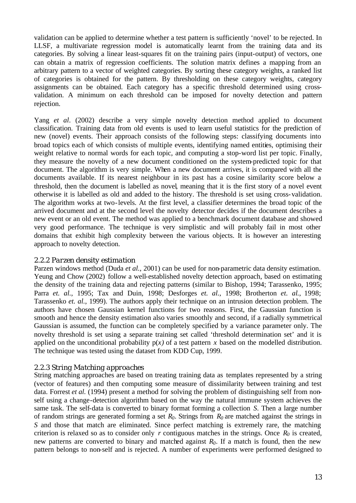validation can be applied to determine whether a test pattern is sufficiently 'novel' to be rejected. In LLSF, a multivariate regression model is automatically learnt from the training data and its categories. By solving a linear least-squares fit on the training pairs (input-output) of vectors, one can obtain a matrix of regression coefficients. The solution matrix defines a mapping from an arbitrary pattern to a vector of weighted categories. By sorting these category weights, a ranked list of categories is obtained for the pattern. By thresholding on these category weights, category assignments can be obtained. Each category has a specific threshold determined using crossvalidation. A minimum on each threshold can be imposed for novelty detection and pattern rejection.

Yang *et al*. (2002) describe a very simple novelty detection method applied to document classification. Training data from old events is used to learn useful statistics for the prediction of new (novel) events. Their approach consists of the following steps: classifying documents into broad topics each of which consists of multiple events, identifying named entities, optimising their weight relative to normal words for each topic, and computing a stop-word list per topic. Finally, they measure the novelty of a new document conditioned on the system-predicted topic for that document. The algorithm is very simple. When a new document arrives, it is compared with all the documents available. If its nearest neighbour in its past has a cosine similarity score below a threshold, then the document is labelled as novel*,* meaning that it is the first story of a novel event otherwise it is labelled as old and added to the history. The threshold is set using cross-validation. The algorithm works at two-levels. At the first level, a classifier determines the broad topic of the arrived document and at the second level the novelty detector decides if the document describes a new event or an old event. The method was applied to a benchmark document database and showed very good performance. The technique is very simplistic and will probably fail in most other domains that exhibit high complexity between the various objects. It is however an interesting approach to novelty detection.

#### 2.2.2 *Parzen density estimation*

Parzen windows method (Duda *et al.*, 2001) can be used for non-parametric data density estimation. Yeung and Chow (2002) follow a well-established novelty detection approach, based on estimating the density of the training data and rejecting patterns (similar to Bishop, 1994; Tarassenko, 1995; Parra *et. al.*, 1995; Tax and Duin, 1998; Desforges *et. al.*, 1998; Brotherton *et. al.*, 1998; Tarassenko *et. al.*, 1999). The authors apply their technique on an intrusion detection problem. The authors have chosen Gaussian kernel functions for two reasons. First, the Gaussian function is smooth and hence the density estimation also varies smoothly and second, if a radially symmetrical Gaussian is assumed, the function can be completely specified by a variance parameter only. The novelty threshold is set using a separate training set called 'threshold determination set' and it is applied on the unconditional probability  $p(x)$  of a test pattern x based on the modelled distribution. The technique was tested using the dataset from KDD Cup, 1999.

#### 2.2.3 *String Matching approaches*

String matching approaches are based on treating training data as templates represented by a string (vector of features) and then computing some measure of dissimilarity between training and test data. Forrest *et al.* (1994) present a method for solving the problem of distinguishing self from nonself using a change-detection algorithm based on the way the natural immune system achieves the same task. The self-data is converted to binary format forming a collection *S*. Then a large number of random strings are generated forming a set *R0*. Strings from *R0* are matched against the strings in *S* and those that match are eliminated. Since perfect matching is extremely rare, the matching criterion is relaxed so as to consider only *r* contiguous matches in the strings. Once  $R_0$  is created, new patterns are converted to binary and matched against  $R_0$ . If a match is found, then the new pattern belongs to non-self and is rejected. A number of experiments were performed designed to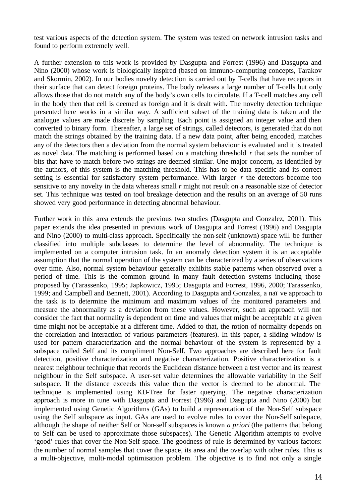test various aspects of the detection system. The system was tested on network intrusion tasks and found to perform extremely well.

A further extension to this work is provided by Dasgupta and Forrest (1996) and Dasgupta and Nino (2000) whose work is biologically inspired (based on immuno-computing concepts, Tarakov and Skormin, 2002). In our bodies novelty detection is carried out by T-cells that have receptors in their surface that can detect foreign proteins. The body releases a large number of T-cells but only allows those that do not match any of the body's own cells to circulate. If a T-cell matches any cell in the body then that cell is deemed as foreign and it is dealt with. The novelty detection technique presented here works in a similar way. A sufficient subset of the training data is taken and the analogue values are made discrete by sampling. Each point is assigned an integer value and then converted to binary form. Thereafter, a large set of strings, called detectors, is generated that do not match the strings obtained by the training data. If a new data point, after being encoded, matches any of the detectors then a deviation from the normal system behaviour is evaluated and it is treated as novel data. The matching is performed based on a matching threshold *r* that sets the number of bits that have to match before two strings are deemed similar. One major concern, as identified by the authors, of this system is the matching threshold. This has to be data specific and its correct setting is essential for satisfactory system performance. With larger *r* the detectors become too sensitive to any novelty in the data whereas small *r* might not result on a reasonable size of detector set. This technique was tested on tool breakage detection and the results on an average of 50 runs showed very good performance in detecting abnormal behaviour.

Further work in this area extends the previous two studies (Dasgupta and Gonzalez, 2001). This paper extends the idea presented in previous work of Dasgupta and Forrest (1996) and Dasgupta and Nino (2000) to multi-class approach. Specifically the non-self (unknown) space will be further classified into multiple subclasses to determine the level of abnormality. The technique is implemented on a computer intrusion task. In an anomaly detection system it is an acceptable assumption that the normal operation of the system can be characterized by a series of observations over time. Also, normal system behaviour generally exhibits stable patterns when observed over a period of time. This is the common ground in many fault detection systems including those proposed by (Tarassenko, 1995; Japkowicz, 1995; Dasgupta and Forrest, 1996, 2000; Tarassenko, 1999; and Campbell and Bennett, 2001). According to Dasgupta and Gonzalez, a naïve approach to the task is to determine the minimum and maximum values of the monitored parameters and measure the abnormality as a deviation from these values. However, such an approach will not consider the fact that normality is dependent on time and values that might be acceptable at a given time might not be acceptable at a different time. Added to that, the notion of normality depends on the correlation and interaction of various parameters (features). In this paper, a sliding window is used for pattern characterization and the normal behaviour of the system is represented by a subspace called Self and its compliment Non-Self. Two approaches are described here for fault detection, positive characterization and negative characterization. Positive characterization is a nearest neighbour technique that records the Euclidean distance between a test vector and its nearest neighbour in the Self subspace. A user-set value determines the allowable variability in the Self subspace. If the distance exceeds this value then the vector is deemed to be abnormal. The technique is implemented using KD-Tree for faster querying. The negative characterization approach is more in tune with Dasgupta and Forrest (1996) and Dasgupta and Nino (2000) but implemented using Genetic Algorithms (GAs) to build a representation of the Non-Self subspace using the Self subspace as input. GAs are used to evolve rules to cover the Non-Self subspace, although the shape of neither Self or Non-self subspaces is known *a priori* (the patterns that belong to Self can be used to approximate those subspaces). The Genetic Algorithm attempts to evolve 'good' rules that cover the Non-Self space. The goodness of rule is determined by various factors: the number of normal samples that cover the space, its area and the overlap with other rules. This is a multi-objective, multi-modal optimisation problem. The objective is to find not only a single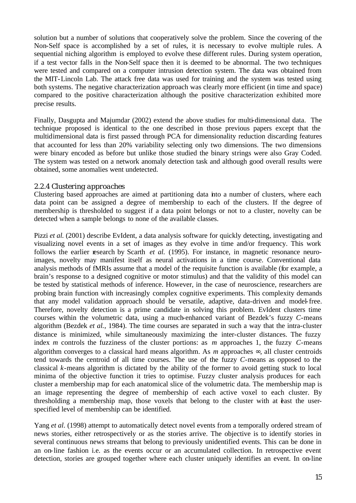solution but a number of solutions that cooperatively solve the problem. Since the covering of the Non-Self space is accomplished by a set of rules, it is necessary to evolve multiple rules. A sequential niching algorithm is employed to evolve these different rules. During system operation, if a test vector falls in the Non-Self space then it is deemed to be abnormal. The two techniques were tested and compared on a computer intrusion detection system. The data was obtained from the MIT-Lincoln Lab. The attack free data was used for training and the system was tested using both systems. The negative characterization approach was clearly more efficient (in time and space) compared to the positive characterization although the positive characterization exhibited more precise results.

Finally, Dasgupta and Majumdar (2002) extend the above studies for multi-dimensional data. The technique proposed is identical to the one described in those previous papers except that the multidimensional data is first passed through PCA for dimensionality reduction discarding features that accounted for less than 20% variability selecting only two dimensions. The two dimensions were binary encoded as before but unlike those studied the binary strings were also Gray Coded. The system was tested on a network anomaly detection task and although good overall results were obtained, some anomalies went undetected.

#### 2.2.4 *Clustering approaches*

Clustering based approaches are aimed at partitioning data into a number of clusters, where each data point can be assigned a degree of membership to each of the clusters. If the degree of membership is thresholded to suggest if a data point belongs or not to a cluster, novelty can be detected when a sample belongs to none of the available classes.

Pizzi *et al.* (2001) describe EvIdent, a data analysis software for quickly detecting, investigating and visualizing novel events in a set of images as they evolve in time and/or frequency. This work follows the earlier research by Scarth *et al.* (1995). For instance, in magnetic resonance neuroimages, novelty may manifest itself as neural activations in a time course. Conventional data analysis methods of fMRIs assume that a model of the requisite function is available (for example, a brain's response to a designed cognitive or motor stimulus) and that the validity of this model can be tested by statistical methods of inference. However, in the case of neuroscience, researchers are probing brain function with increasingly complex cognitive experiments. This complexity demands that any model validation approach should be versatile, adaptive, data-driven and model-free. Therefore, novelty detection is a prime candidate in solving this problem. EvIdent clusters time courses within the volumetric data, using a much-enhanced variant of Bezdek's fuzzy *C*-means algorithm (Bezdek *et al.*, 1984). The time courses are separated in such a way that the intra-cluster distance is minimized, while simultaneously maximizing the inter-cluster distances. The fuzzy index *m* controls the fuzziness of the cluster portions: as *m* approaches 1, the fuzzy *C-*means algorithm converges to a classical hard means algorithm. As  $m$  approaches  $\infty$ , all cluster centroids tend towards the centroid of all time courses. The use of the fuzzy *C*-means as opposed to the classical *k*-means algorithm is dictated by the ability of the former to avoid getting stuck to local minima of the objective function it tries to optimise. Fuzzy cluster analysis produces for each cluster a membership map for each anatomical slice of the volumetric data. The membership map is an image representing the degree of membership of each active voxel to each cluster. By thresholding a membership map, those voxels that belong to the cluster with at east the userspecified level of membership can be identified.

Yang *et al*. (1998) attempt to automatically detect novel events from a temporally ordered stream of news stories, either retrospectively or as the stories arrive. The objective is to identify stories in several continuous news streams that belong to previously unidentified events. This can be done in an on-line fashion i.e. as the events occur or an accumulated collection. In retrospective event detection, stories are grouped together where each cluster uniquely identifies an event. In on-line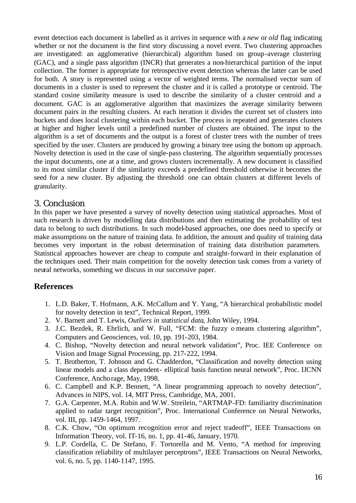event detection each document is labelled as it arrives in sequence with a *new* or *old* flag indicating whether or not the document is the first story discussing a novel event. Two clustering approaches are investigated: an agglomerative (hierarchical) algorithm based on group-average clustering (GAC), and a single pass algorithm (INCR) that generates a non-hierarchical partition of the input collection. The former is appropriate for retrospective event detection whereas the latter can be used for both. A story is represented using a vector of weighted terms. The normalised vector sum of documents in a cluster is used to represent the cluster and it is called a prototype or centroid. The standard cosine similarity measure is used to describe the similarity of a cluster centroid and a document. GAC is an agglomerative algorithm that maximizes the average similarity between document pairs in the resulting clusters. At each iteration it divides the current set of clusters into buckets and does local clustering within each bucket. The process is repeated and generates clusters at higher and higher levels until a predefined number of clusters are obtained. The input to the algorithm is a set of documents and the output is a forest of cluster trees with the number of trees specified by the user. Clusters are produced by growing a binary tree using the bottom up approach. Novelty detection is used in the case of single-pass clustering. The algorithm sequentially processes the input documents, one at a time, and grows clusters incrementally. A new document is classified to its most similar cluster if the similarity exceeds a predefined threshold otherwise it becomes the seed for a new cluster. By adjusting the threshold one can obtain clusters at different levels of granularity.

#### 3. Conclusion

In this paper we have presented a survey of novelty detection using statistical approaches. Most of such research is driven by modelling data distributions and then estimating the probability of test data to belong to such distributions. In such model-based approaches, one does need to specify or make assumptions on the nature of training data. In addition, the amount and quality of training data becomes very important in the robust determination of training data distribution parameters. Statistical approaches however are cheap to compute and straight-forward in their explanation of the techniques used. Their main competition for the novelty detection task comes from a variety of neural networks, something we discuss in our successive paper.

# **References**

- 1. L.D. Baker, T. Hofmann, A.K. McCallum and Y. Yang, "A hierarchical probabilistic model for novelty detection in text", Technical Report, 1999.
- 2. V. Barnett and T. Lewis, *Outliers in statistical data*, John Wiley, 1994.
- 3. J.C. Bezdek, R. Ehrlich, and W. Full, "FCM: the fuzzy e-means clustering algorithm", Computers and Geosciences, vol. 10, pp. 191-203, 1984.
- 4. C. Bishop, "Novelty detection and neural network validation", Proc. IEE Conference on Vision and Image Signal Processing, pp. 217-222, 1994.
- 5. T. Brotherton, T. Johnson and G. Chadderdon, "Classification and novelty detection using linear models and a class dependent- elliptical basis function neural network", Proc. IJCNN Conference, Anchorage, May, 1998.
- 6. C. Campbell and K.P. Bennett, "A linear programming approach to novelty detection", Advances in NIPS, vol. 14, MIT Press, Cambridge, MA, 2001.
- 7. G.A. Carpenter, M.A. Rubin and W.W. Streilein, "ARTMAP-FD: familiarity discrimination applied to radar target recognition", Proc. International Conference on Neural Networks, vol. III, pp. 1459-1464, 1997.
- 8. C.K. Chow, "On optimum recognition error and reject tradeoff", IEEE Transactions on Information Theory, vol. IT-16, no. 1, pp. 41-46, January, 1970.
- 9. L.P. Cordella, C. De Stefano, F. Tortorella and M. Vento, "A method for improving classification reliability of multilayer perceptrons", IEEE Transactions on Neural Networks, vol. 6, no. 5, pp. 1140-1147, 1995.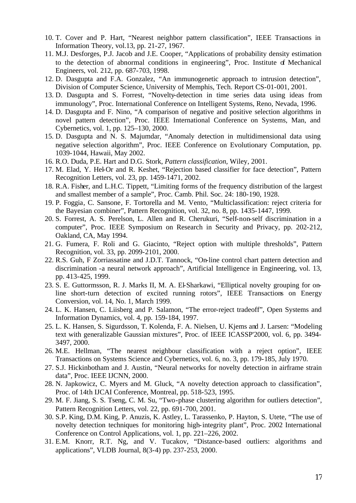- 10. T. Cover and P. Hart, "Nearest neighbor pattern classification", IEEE Transactions in Information Theory, vol.13, pp. 21-27, 1967.
- 11. M.J. Desforges, P.J. Jacob and J.E. Cooper, "Applications of probability density estimation to the detection of abnormal conditions in engineering", Proc. Institute of Mechanical Engineers, vol. 212, pp. 687-703, 1998.
- 12. D. Dasgupta and F.A. Gonzalez, "An immunogenetic approach to intrusion detection", Division of Computer Science, University of Memphis, Tech. Report CS-01-001, 2001.
- 13. D. Dasgupta and S. Forrest, "Novelty-detection in time series data using ideas from immunology", Proc. International Conference on Intelligent Systems, Reno, Nevada, 1996.
- 14. D. Dasgupta and F. Nino, "A comparison of negative and positive selection algorithms in novel pattern detection", Proc. IEEE International Conference on Systems, Man, and Cybernetics, vol. 1, pp. 125–130, 2000.
- 15. D. Dasgupta and N. S. Majumdar, "Anomaly detection in multidimensional data using negative selection algorithm", Proc. IEEE Conference on Evolutionary Computation, pp. 1039-1044, Hawaii, May 2002.
- 16. R.O. Duda, P.E. Hart and D.G. Stork, *Pattern classification*, Wiley, 2001.
- 17. M. Elad, Y. Hel-Or and R. Keshet, "Rejection based classifier for face detection", Pattern Recognition Letters, vol. 23, pp. 1459-1471, 2002.
- 18. R.A. Fisher, and L.H.C. Tippett, "Limiting forms of the frequency distribution of the largest and smallest member of a sample", Proc. Camb. Phil. Soc. 24: 180-190, 1928.
- 19. P. Foggia, C. Sansone, F. Tortorella and M. Vento, "Multiclassification: reject criteria for the Bayesian combiner", Pattern Recognition, vol. 32, no. 8, pp. 1435-1447, 1999.
- 20. S. Forrest, A. S. Perelson, L. Allen and R. Cherukuri, "Self-non-self discrimination in a computer", Proc. IEEE Symposium on Research in Security and Privacy, pp. 202-212, Oakland, CA, May 1994.
- 21. G. Fumera, F. Roli and G. Giacinto, "Reject option with multiple thresholds", Pattern Recognition, vol. 33, pp. 2099-2101, 2000.
- 22. R.S. Guh, F Zorriassatine and J.D.T. Tannock, "On-line control chart pattern detection and discrimination -a neural network approach", Artificial Intelligence in Engineering, vol. 13, pp. 413-425, 1999.
- 23. S. E. Guttormsson, R. J. Marks II, M. A. El-Sharkawi, "Elliptical novelty grouping for online short-turn detection of excited running rotors", IEEE Transactions on Energy Conversion, vol. 14, No. 1, March 1999.
- 24. L. K. Hansen, C. Liisberg and P. Salamon, "The error-reject tradeoff", Open Systems and Information Dynamics, vol. 4, pp. 159-184, 1997.
- 25. L. K. Hansen, S. Sigurdsson, T. Kolenda, F. A. Nielsen, U. Kjems and J. Larsen: "Modeling text with generalizable Gaussian mixtures", Proc. of IEEE ICASSP'2000, vol. 6, pp. 3494- 3497, 2000.
- 26. M.E. Hellman, "The nearest neighbour classification with a reject option", IEEE Transactions on Systems Science and Cybernetics, vol. 6, no. 3, pp. 179-185, July 1970.
- 27. S.J. Hickinbotham and J. Austin, "Neural networks for novelty detection in airframe strain data", Proc. IEEE IJCNN, 2000.
- 28. N. Japkowicz, C. Myers and M. Gluck, "A novelty detection approach to classification", Proc. of 14th IJCAI Conference, Montreal, pp. 518-523, 1995.
- 29. M. F. Jiang, S. S. Tseng, C. M. Su, "Two-phase clustering algorithm for outliers detection", Pattern Recognition Letters, vol. 22, pp. 691-700, 2001.
- 30. S.P. King, D.M. King, P. Anuzis, K. Astley, L. Tarassenko, P. Hayton, S. Utete, "The use of novelty detection techniques for monitoring high-integrity plant", Proc. 2002 International Conference on Control Applications, vol. 1, pp. 221–226, 2002.
- 31. E.M. Knorr, R.T. Ng, and V. Tucakov, "Distance-based outliers: algorithms and applications", VLDB Journal, 8(3-4) pp. 237-253, 2000.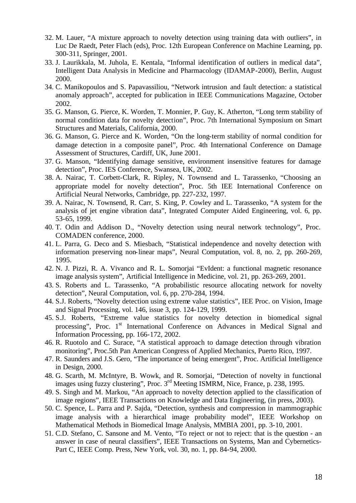- 32. M. Lauer, "A mixture approach to novelty detection using training data with outliers", in Luc De Raedt, Peter Flach (eds), Proc. 12th European Conference on Machine Learning, pp. 300-311, Springer, 2001.
- 33. J. Laurikkala, M. Juhola, E. Kentala, "Informal identification of outliers in medical data", Intelligent Data Analysis in Medicine and Pharmacology (IDAMAP-2000), Berlin, August 2000.
- 34. C. Manikopoulos and S. Papavassiliou, "Network intrusion and fault detection: a statistical anomaly approach", accepted for publication in IEEE Communications Magazine, October 2002.
- 35. G. Manson, G. Pierce, K. Worden, T. Monnier, P. Guy, K. Atherton, "Long term stability of normal condition data for novelty detection", Proc. 7th International Symposium on Smart Structures and Materials, California, 2000.
- 36. G. Manson, G. Pierce and K. Worden, "On the long-term stability of normal condition for damage detection in a composite panel", Proc. 4th International Conference on Damage Assessment of Structures, Cardiff, UK, June 2001.
- 37. G. Manson, "Identifying damage sensitive, environment insensitive features for damage detection", Proc. IES Conference, Swansea, UK, 2002.
- 38. A. Nairac, T. Corbett-Clark, R. Ripley, N. Townsend and L. Tarassenko, "Choosing an appropriate model for novelty detection", Proc. 5th IEE International Conference on Artificial Neural Networks, Cambridge, pp. 227-232, 1997.
- 39. A. Nairac, N. Townsend, R. Carr, S. King, P. Cowley and L. Tarassenko, "A system for the analysis of jet engine vibration data", Integrated Computer Aided Engineering, vol. 6, pp. 53-65, 1999.
- 40. T. Odin and Addison D., "Novelty detection using neural network technology", Proc. COMADEN conference, 2000.
- 41. L. Parra, G. Deco and S. Miesbach, "Statistical independence and novelty detection with information preserving non-linear maps", Neural Computation, vol. 8, no. 2, pp. 260-269, 1995.
- 42. N. J. Pizzi, R. A. Vivanco and R. L. Somorjai "EvIdent: a functional magnetic resonance image analysis system", Artificial Intelligence in Medicine, vol. 21, pp. 263-269, 2001.
- 43. S. Roberts and L. Tarassenko, "A probabilistic resource allocating network for novelty detection", Neural Computation, vol. 6, pp. 270-284, 1994.
- 44. S.J. Roberts, "Novelty detection using extreme value statistics", IEE Proc. on Vision, Image and Signal Processing, vol. 146, issue 3, pp. 124-129, 1999.
- 45. S.J. Roberts, "Extreme value statistics for novelty detection in biomedical signal processing", Proc. 1<sup>st</sup> International Conference on Advances in Medical Signal and Information Processing, pp. 166-172, 2002.
- 46. R. Ruotolo and C. Surace, "A statistical approach to damage detection through vibration monitoring", Proc.5th Pan American Congress of Applied Mechanics, Puerto Rico, 1997.
- 47. R. Saunders and J.S. Gero, "The importance of being emergent", Proc. Artificial Intelligence in Design, 2000.
- 48. G. Scarth, M. McIntyre, B. Wowk, and R. Somorjai, "Detection of novelty in functional images using fuzzy clustering", Proc. 3rd Meeting ISMRM, Nice, France, p. 238, 1995.
- 49. S. Singh and M. Markou, "An approach to novelty detection applied to the classification of image regions", IEEE Transactions on Knowledge and Data Engineering, (in press, 2003).
- 50. C. Spence, L. Parra and P. Sajda, "Detection, synthesis and compression in mammographic image analysis with a hierarchical image probability model", IEEE Workshop on Mathematical Methods in Biomedical Image Analysis, MMBIA 2001, pp. 3-10, 2001.
- 51. C.D. Stefano, C. Sansone and M. Vento, "To reject or not to reject: that is the question an answer in case of neural classifiers", IEEE Transactions on Systems, Man and Cybernetics-Part C, IEEE Comp. Press, New York, vol. 30, no. 1, pp. 84-94, 2000.